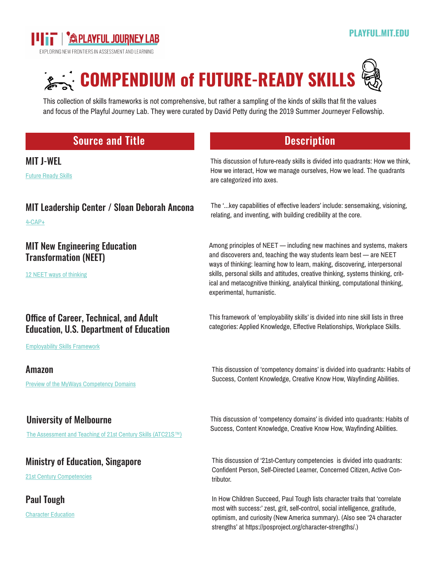

[21st Century Competencies](https://www.moe.gov.sg/education/education-system/21st-century-competencies)

Paul Tough

[Character Education](https://www.nytimes.com/2011/09/18/magazine/what-if-the-secret-to-success-is-failure.html?ref=magazine)



This collection of skills frameworks is not comprehensive, but rather a sampling of the kinds of skills that fit the values and focus of the Playful Journey Lab. They were curated by David Petty during the 2019 Summer Journeyer Fellowship.

## Source and Title **Description** MIT J-WEL [Future Ready Skills](http://ow.ly/gkCO30p8EY5) This discussion of future-ready skills is divided into quadrants: How we think, How we interact, How we manage ourselves, How we lead. The quadrants are categorized into axes. MIT Leadership Center / Sloan Deborah Ancona [4-CAP+](http://ow.ly/Wwet30pjwQG) The '...key capabilities of effective leaders' include: sensemaking, visioning, relating, and inventing, with building credibility at the core. MIT New Engineering Education Transformation (NEET) [12 NEET ways of thinking](http://neet.mit.edu/about/) Among principles of NEET — including new machines and systems, makers and discoverers and, teaching the way students learn best — are NEET ways of thinking: learning how to learn, making, discovering, interpersonal skills, personal skills and attitudes, creative thinking, systems thinking, critical and metacognitive thinking, analytical thinking, computational thinking, experimental, humanistic. Office of Career, Technical, and Adult Education, U.S. Department of Education [Employability Skills Framework](http://cte.ed.gov/employabilityskills) This framework of 'employability skills' is divided into nine skill lists in three categories: Applied Knowledge, Effective Relationships, Workplace Skills. Amazon [Preview of the MyWays Competency Domains](https://s3.amazonaws.com/nglc/resource-files/MyWays_06CompetencyList.pdf) This discussion of 'competency domains' is divided into quadrants: Habits of Success, Content Knowledge, Creative Know How, Wayfinding Abilities. University of Melbourne [The Assessment and Teaching of 21st Century Skills \(ATC21S™\)](http://www.atc21s.org/) This discussion of 'competency domains' is divided into quadrants: Habits of Success, Content Knowledge, Creative Know How, Wayfinding Abilities. Ministry of Education, Singapore

This discussion of '21st-Century competencies is divided into quadrants: Confident Person, Self-Directed Learner, Concerned Citizen, Active Contributor.

In How Children Succeed, Paul Tough lists character traits that 'correlate most with success:' zest, grit, self-control, social intelligence, gratitude, optimism, and curiosity (New America summary). (Also see '24 character strengths' at https://posproject.org/character-strengths/.)